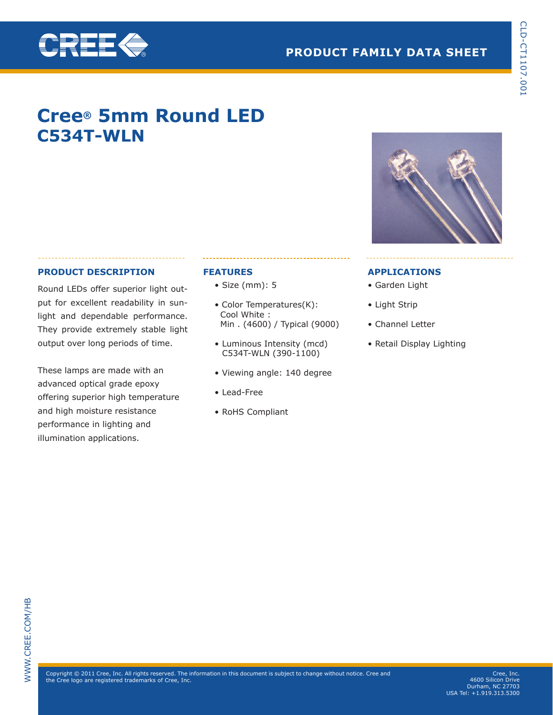

# **Cree® 5mm Round LED C534T-WLN**

## **PRODUCT DESCRIPTION**

**ABET &** 

Round LEDs offer superior light output for excellent readability in sunlight and dependable performance. They provide extremely stable light output over long periods of time.

These lamps are made with an advanced optical grade epoxy offering superior high temperature and high moisture resistance performance in lighting and illumination applications.

## **FEATURES**

- Size (mm): 5
- Color Temperatures(K): Cool White : Min . (4600) / Typical (9000)
- Luminous Intensity (mcd) C534T-WLN (390-1100)
- Viewing angle: 140 degree
- Lead-Free
- RoHS Compliant

### **APPLICATIONS**

- Garden Light
- Light Strip
- Channel Letter
- Retail Display Lighting



Cree, Inc. 4600 Silicon Drive Durham, NC 27703 USA Tel: +1.919.313.5300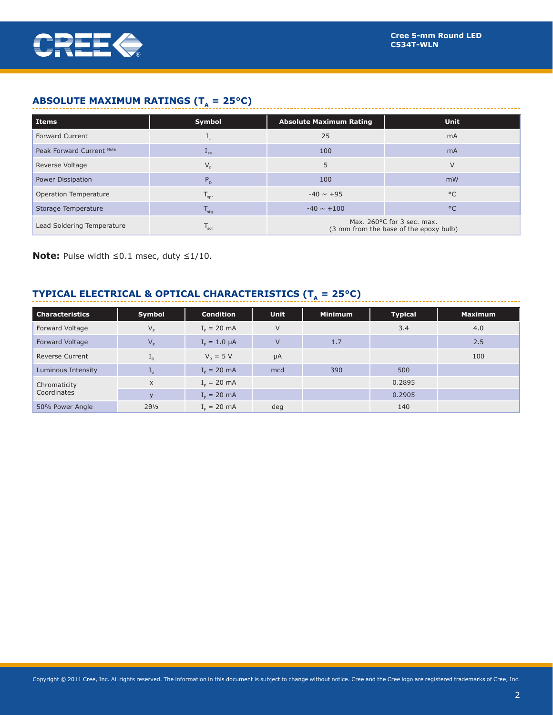

# **ABSOLUTE MAXIMUM RATINGS (T<sub>A</sub> = 25°C)**

| <b>Items</b>               | Symbol                      | <b>Absolute Maximum Rating</b>                                       | <b>Unit</b>  |  |
|----------------------------|-----------------------------|----------------------------------------------------------------------|--------------|--|
| <b>Forward Current</b>     | ∸⊧                          | 25                                                                   | <b>mA</b>    |  |
| Peak Forward Current Note  | $L_{FP}$                    | 100                                                                  | <b>mA</b>    |  |
| Reverse Voltage            | $V_{R}$                     | 5                                                                    | V            |  |
| <b>Power Dissipation</b>   | $P_{n}$                     | 100                                                                  | mW           |  |
| Operation Temperature      | $T_{\text{opr}}$            | $-40 \sim +95$                                                       | $^{\circ}$ C |  |
| Storage Temperature        | $T_{\text{stg}}$            | $-40 \sim +100$                                                      | $^{\circ}$ C |  |
| Lead Soldering Temperature | $\mathsf{I}_{\mathsf{sol}}$ | Max. 260°C for 3 sec. max.<br>(3 mm from the base of the epoxy bulb) |              |  |

**Note:** Pulse width ≤0.1 msec, duty ≤1/10.

# **TYPICAL ELECTRICAL & OPTICAL CHARACTERISTICS (** $T_A = 25^{\circ}C$ **)**

| <b>Characteristics</b> | Symbol                    | <b>Condition</b>        | <b>Unit</b>    | <b>Minimum</b> | <b>Typical</b> | <b>Maximum</b> |
|------------------------|---------------------------|-------------------------|----------------|----------------|----------------|----------------|
| Forward Voltage        | $V_F$                     | $I_c = 20$ mA           | $\vee$         |                | 3.4            | 4.0            |
| Forward Voltage        | $V_F$                     | $I_{\rm r} = 1.0 \mu A$ | $\overline{V}$ | 1.7            |                | 2.5            |
| <b>Reverse Current</b> | $\mathbf{L}_{R}$          | $V_p = 5 V$             | $\mu A$        |                |                | 100            |
| Luminous Intensity     | $\mathbf{L}_{\mathsf{V}}$ | $I_c = 20$ mA           | mcd            | 390            | 500            |                |
| Chromaticity           | $\mathsf{x}$              | $Ir = 20 mA$            |                |                | 0.2895         |                |
| Coordinates            | $\mathbf{v}$              | $I_c = 20$ mA           |                |                | 0.2905         |                |
| 50% Power Angle        | $2\theta\frac{1}{2}$      | $I_r = 20$ mA           | deg            |                | 140            |                |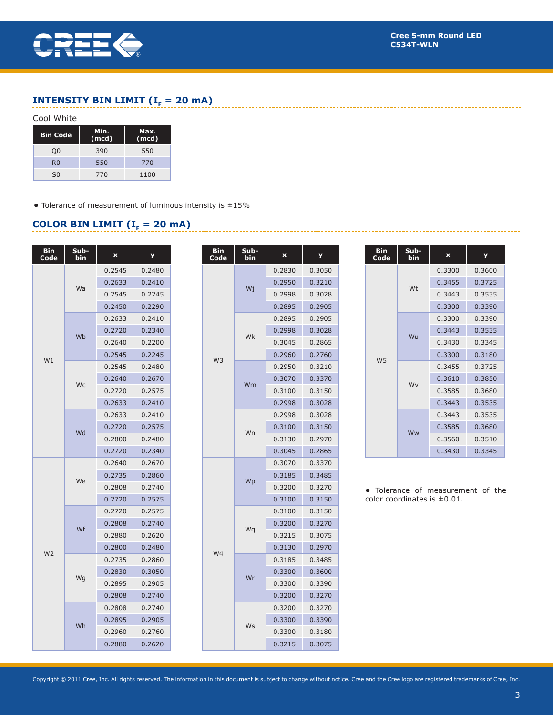

-------------------------

# **INTENSITY BIN LIMIT (** $I<sub>F</sub> = 20$  **mA)**

#### Cool White

| <b>Bin Code</b> | Min.<br>(mod) | Max.<br>(mod) |
|-----------------|---------------|---------------|
| O0              | 390           | 550           |
| R <sub>0</sub>  | 550           | 770           |
| S <sub>0</sub>  | 770           | 1100          |

**•** Tolerance of measurement of luminous intensity is ±15%

## **COLOR BIN LIMIT (** $I<sub>F</sub> = 20$  **mA)**

| Bin<br>Code    | Sub-<br>bin | x      | у      |
|----------------|-------------|--------|--------|
|                | Wa          | 0.2545 | 0.2480 |
|                |             | 0.2633 | 0.2410 |
|                |             | 0.2545 | 0.2245 |
|                |             | 0.2450 | 0.2290 |
|                | Wb          | 0.2633 | 0.2410 |
|                |             | 0.2720 | 0.2340 |
|                |             | 0.2640 | 0.2200 |
| W1             |             | 0.2545 | 0.2245 |
|                |             | 0.2545 | 0.2480 |
|                | Wc          | 0.2640 | 0.2670 |
|                |             | 0.2720 | 0.2575 |
|                |             | 0.2633 | 0.2410 |
|                |             | 0.2633 | 0.2410 |
|                | Wd          | 0.2720 | 0.2575 |
|                |             | 0.2800 | 0.2480 |
|                |             | 0.2720 | 0.2340 |
|                | We          | 0.2640 | 0.2670 |
|                |             | 0.2735 | 0.2860 |
|                |             | 0.2808 | 0.2740 |
|                |             | 0.2720 | 0.2575 |
|                | Wf          | 0.2720 | 0.2575 |
|                |             | 0.2808 | 0.2740 |
| W <sub>2</sub> |             | 0.2880 | 0.2620 |
|                |             | 0.2800 | 0.2480 |
|                |             | 0.2735 | 0.2860 |
|                |             | 0.2830 | 0.3050 |
|                | Wg          | 0.2895 | 0.2905 |
|                |             | 0.2808 | 0.2740 |
|                |             | 0.2808 | 0.2740 |
|                | Wh          | 0.2895 | 0.2905 |
|                |             | 0.2960 | 0.2760 |
|                |             | 0.2880 | 0.2620 |

| Bin<br>Code    | Sub-<br>bin | $\mathbf x$ | У      |
|----------------|-------------|-------------|--------|
|                | Wj          | 0.2830      | 0.3050 |
|                |             | 0.2950      | 0.3210 |
|                |             | 0.2998      | 0.3028 |
|                |             | 0.2895      | 0.2905 |
|                | Wk          | 0.2895      | 0.2905 |
|                |             | 0.2998      | 0.3028 |
|                |             | 0.3045      | 0.2865 |
| W <sub>3</sub> |             | 0.2960      | 0.2760 |
|                |             | 0.2950      | 0.3210 |
|                | Wm          | 0.3070      | 0.3370 |
|                |             | 0.3100      | 0.3150 |
|                |             | 0.2998      | 0.3028 |
|                |             | 0.2998      | 0.3028 |
|                | Wn          | 0.3100      | 0.3150 |
|                |             | 0.3130      | 0.2970 |
|                |             | 0.3045      | 0.2865 |
|                | Wp          | 0.3070      | 0.3370 |
|                |             | 0.3185      | 0.3485 |
|                |             | 0.3200      | 0.3270 |
|                |             | 0.3100      | 0.3150 |
|                |             | 0.3100      | 0.3150 |
|                |             | 0.3200      | 0.3270 |
|                | Wq          | 0.3215      | 0.3075 |
| W <sub>4</sub> |             | 0.3130      | 0.2970 |
|                | Wr          | 0.3185      | 0.3485 |
|                |             | 0.3300      | 0.3600 |
|                |             | 0.3300      | 0.3390 |
|                |             | 0.3200      | 0.3270 |
|                | Ws          | 0.3200      | 0.3270 |
|                |             | 0.3300      | 0.3390 |
|                |             | 0.3300      | 0.3180 |
|                |             | 0.3215      | 0.3075 |
|                |             |             |        |

| <b>Bin</b><br>Code | Sub-<br>bin | $\mathbf x$ | y      |
|--------------------|-------------|-------------|--------|
|                    | Wt          | 0.3300      | 0.3600 |
|                    |             | 0.3455      | 0.3725 |
|                    |             | 0.3443      | 0.3535 |
|                    |             | 0.3300      | 0.3390 |
|                    | Wu          | 0.3300      | 0.3390 |
|                    |             | 0.3443      | 0.3535 |
|                    |             | 0.3430      | 0.3345 |
| W <sub>5</sub>     |             | 0.3300      | 0.3180 |
|                    | Wv          | 0.3455      | 0.3725 |
|                    |             | 0.3610      | 0.3850 |
|                    |             | 0.3585      | 0.3680 |
|                    |             | 0.3443      | 0.3535 |
|                    | Ww          | 0.3443      | 0.3535 |
|                    |             | 0.3585      | 0.3680 |
|                    |             | 0.3560      | 0.3510 |
|                    |             | 0.3430      | 0.3345 |

**•** Tolerance of measurement of the color coordinates is ±0.01.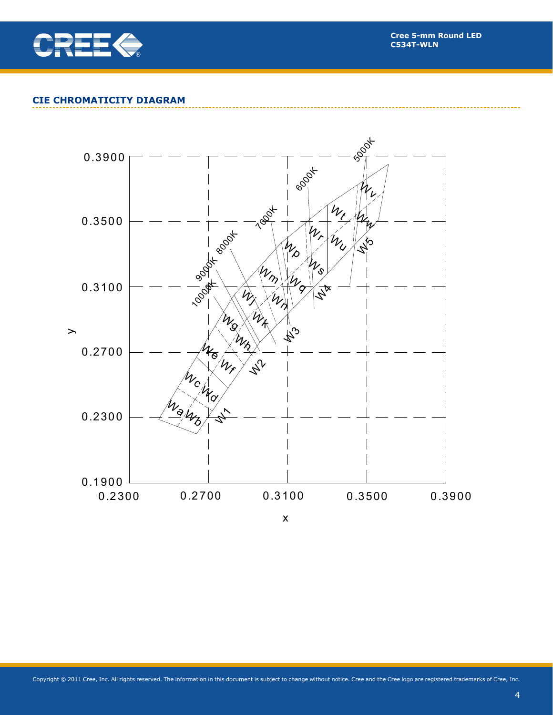

## **CIE CHROMATICITY DIAGRAM**

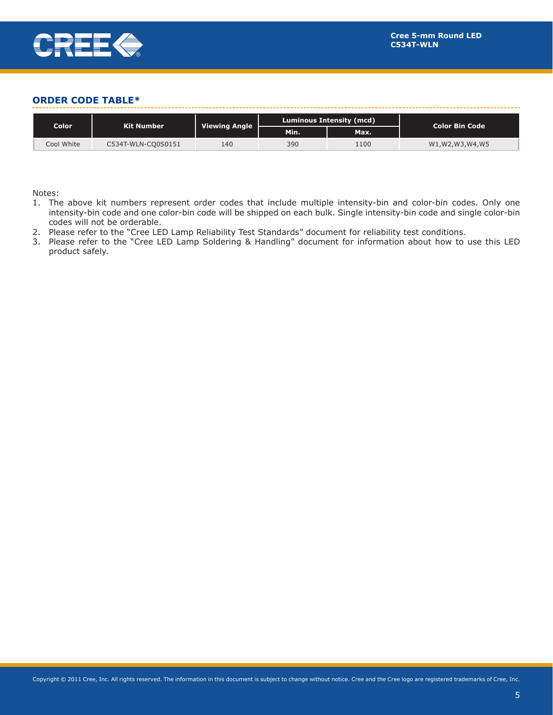

### **ORDER CODE TABLE\***

| Color<br>Kit Number |                    |                      | Luminous Intensity (mcd) |      | <b>Color Bin Code</b> |
|---------------------|--------------------|----------------------|--------------------------|------|-----------------------|
|                     |                    | <b>Viewing Angle</b> | Min.                     | Max. |                       |
| Cool White          | C534T-WLN-CO0S0151 | 140                  | 390                      | 1100 | W1,W2,W3,W4,W5        |

Notes:

- 1. The above kit numbers represent order codes that include multiple intensity-bin and color-bin codes. Only one intensity-bin code and one color-bin code will be shipped on each bulk. Single intensity-bin code and single color-bin codes will not be orderable.
- 2. Please refer to the "Cree LED Lamp Reliability Test Standards" document for reliability test conditions.
- 3. Please refer to the "Cree LED Lamp Soldering & Handling" document for information about how to use this LED product safely.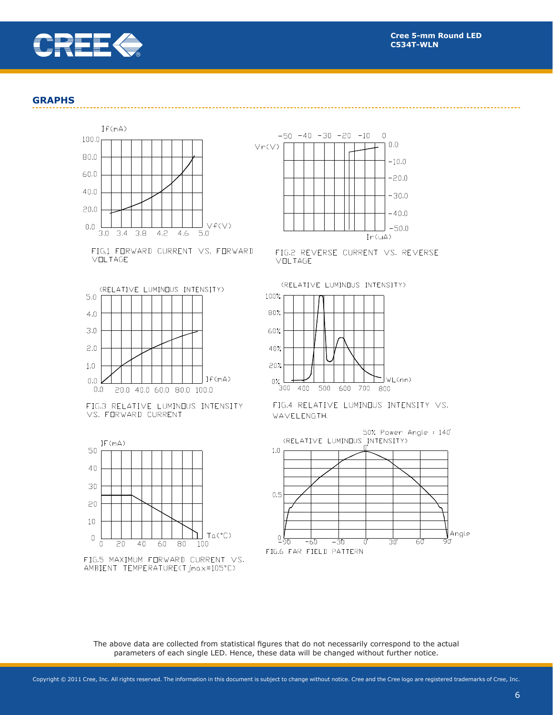

#### **GRAPHS**



FIG.1 FORWARD CURRENT VS. FORWARD VOLTAGE







FIG.5 MAXIMUM FORWARD CURRENT VS. AMBIENT TEMPERATURE(Tjmax=105°C)



FIG.2 REVERSE CURRENT VS. REVERSE VOLTAGE

(RELATIVE LUMINOUS INTENSITY)







The above data are collected from statistical figures that do not necessarily correspond to the actual parameters of each single LED. Hence, these data will be changed without further notice.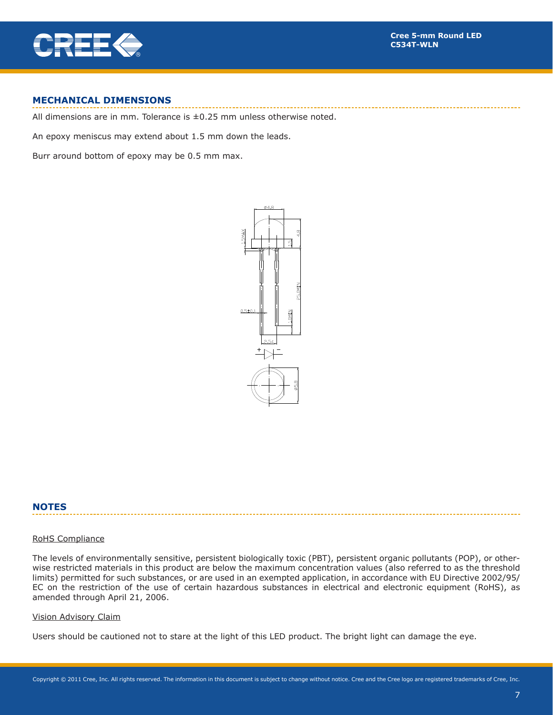

### **MECHANICAL DIMENSIONS**

All dimensions are in mm. Tolerance is  $\pm 0.25$  mm unless otherwise noted.

An epoxy meniscus may extend about 1.5 mm down the leads.

Burr around bottom of epoxy may be 0.5 mm max.



#### **NOTES**

#### RoHS Compliance

The levels of environmentally sensitive, persistent biologically toxic (PBT), persistent organic pollutants (POP), or otherwise restricted materials in this product are below the maximum concentration values (also referred to as the threshold limits) permitted for such substances, or are used in an exempted application, in accordance with EU Directive 2002/95/ EC on the restriction of the use of certain hazardous substances in electrical and electronic equipment (RoHS), as amended through April 21, 2006.

#### Vision Advisory Claim

Users should be cautioned not to stare at the light of this LED product. The bright light can damage the eye.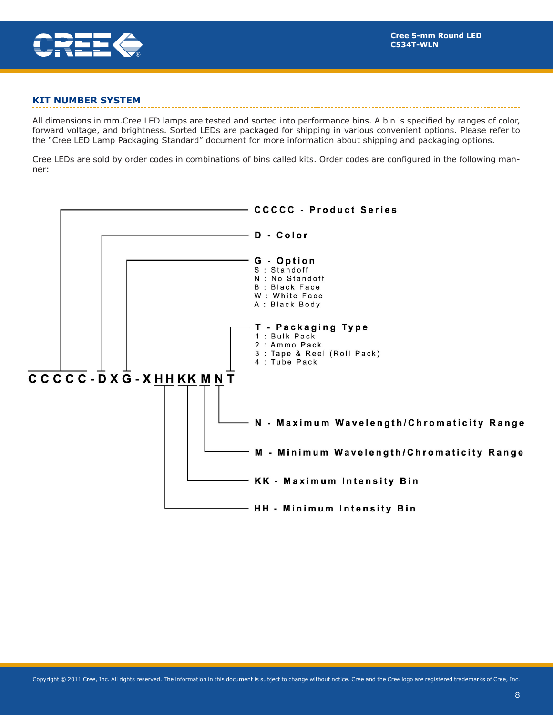

## **KIT NUMBER SYSTEM**

All dimensions in mm.Cree LED lamps are tested and sorted into performance bins. A bin is specified by ranges of color, forward voltage, and brightness. Sorted LEDs are packaged for shipping in various convenient options. Please refer to the "Cree LED Lamp Packaging Standard" document for more information about shipping and packaging options.

Cree LEDs are sold by order codes in combinations of bins called kits. Order codes are configured in the following manner:

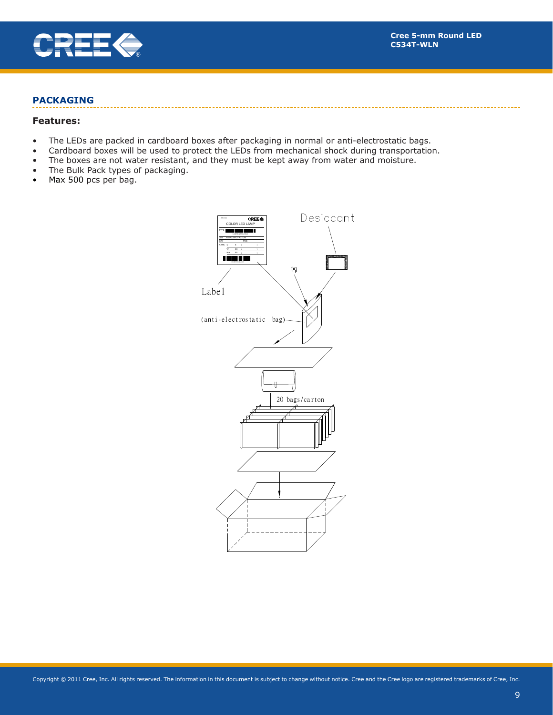

## **PACKAGING**

#### **Features:**

- The LEDs are packed in cardboard boxes after packaging in normal or anti-electrostatic bags.
- Cardboard boxes will be used to protect the LEDs from mechanical shock during transportation.
- The boxes are not water resistant, and they must be kept away from water and moisture.
- The Bulk Pack types of packaging.
- Max 500 pcs per bag.